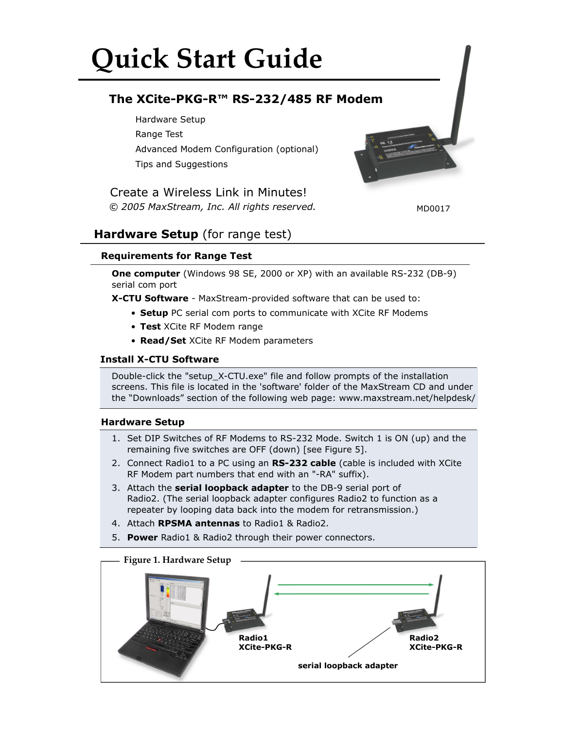# **Quick Start Guide**

# **The XCite-PKG-R™ RS-232/485 RF Modem**

Hardware Setup Range Test Advanced Modem Configuration (optional) Tips and Suggestions

*© 2005 MaxStream, Inc. All rights reserved.* Create a Wireless Link in Minutes!



MD0017

# **Hardware Setup** (for range test)

# **Requirements for Range Test**

**One computer** (Windows 98 SE, 2000 or XP) with an available RS-232 (DB-9) serial com port

**X-CTU Software** - MaxStream-provided software that can be used to:

- **Setup** PC serial com ports to communicate with XCite RF Modems
- **Test** XCite RF Modem range
- **Read/Set** XCite RF Modem parameters

# **Install X-CTU Software**

Double-click the "setup\_X-CTU.exe" file and follow prompts of the installation screens. This file is located in the 'software' folder of the MaxStream CD and under the "Downloads" section of the following web page: www.maxstream.net/helpdesk/

# **Hardware Setup**

- 1. Set DIP Switches of RF Modems to RS-232 Mode. Switch 1 is ON (up) and the remaining five switches are OFF (down) [see Figure 5].
- 2. Connect Radio1 to a PC using an **RS-232 cable** (cable is included with XCite RF Modem part numbers that end with an "-RA" suffix).
- 3. Attach the **serial loopback adapter** to the DB-9 serial port of Radio2. (The serial loopback adapter configures Radio2 to function as a repeater by looping data back into the modem for retransmission.)
- 4. Attach **RPSMA antennas** to Radio1 & Radio2.
- 5. **Power** Radio1 & Radio2 through their power connectors.

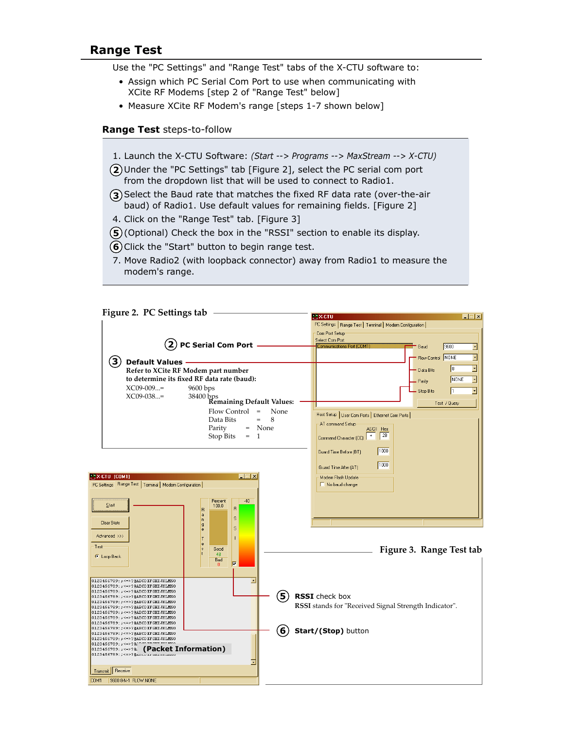# **Range Test**

Use the "PC Settings" and "Range Test" tabs of the X-CTU software to:

- Assign which PC Serial Com Port to use when communicating with XCite RF Modems [step 2 of "Range Test" below]
- Measure XCite RF Modem's range [steps 1-7 shown below]

#### **Range Test** steps-to-follow

- 1. Launch the X-CTU Software: *(Start --> Programs --> MaxStream --> X-CTU)*
- Under the "PC Settings" tab [Figure 2], select the PC serial com port **2** from the dropdown list that will be used to connect to Radio1.
- **3**) Select the Baud rate that matches the fixed RF data rate (over-the-air baud) of Radio1. Use default values for remaining fields. [Figure 2]
- 4. Click on the "Range Test" tab. [Figure 3]
- **5**) (Optional) Check the box in the "RSSI" section to enable its display.
- **6**) Click the "Start" button to begin range test.
- 7. Move Radio2 (with loopback connector) away from Radio1 to measure the modem's range.

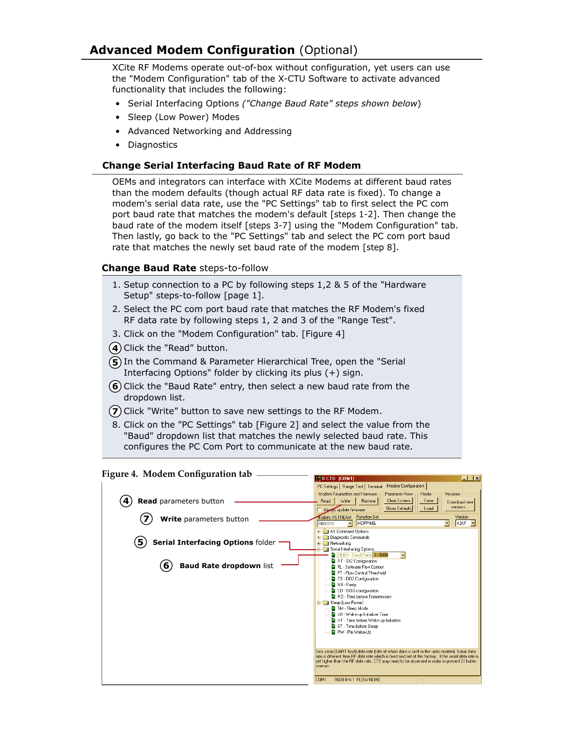# **Advanced Modem Configuration** (Optional)

XCite RF Modems operate out-of-box without configuration, yet users can use the "Modem Configuration" tab of the X-CTU Software to activate advanced functionality that includes the following:

- Serial Interfacing Options *("Change Baud Rate" steps shown below*)
- Sleep (Low Power) Modes
- Advanced Networking and Addressing
- Diagnostics

#### **Change Serial Interfacing Baud Rate of RF Modem**

OEMs and integrators can interface with XCite Modems at different baud rates than the modem defaults (though actual RF data rate is fixed). To change a modem's serial data rate, use the "PC Settings" tab to first select the PC com port baud rate that matches the modem's default [steps 1-2]. Then change the baud rate of the modem itself [steps 3-7] using the "Modem Configuration" tab. Then lastly, go back to the "PC Settings" tab and select the PC com port baud rate that matches the newly set baud rate of the modem [step 8].

# **Change Baud Rate** steps-to-follow

- 1. Setup connection to a PC by following steps 1,2 & 5 of the "Hardware Setup" steps-to-follow [page 1].
- 2. Select the PC com port baud rate that matches the RF Modem's fixed RF data rate by following steps 1, 2 and 3 of the "Range Test".
- 3. Click on the "Modem Configuration" tab. [Figure 4]
- **4**) Click the "Read" button.
- **5**) In the Command & Parameter Hierarchical Tree, open the "Serial Interfacing Options" folder by clicking its plus (+) sign.
- **6**) Click the "Baud Rate" entry, then select a new baud rate from the dropdown list.
- **7**) Click "Write" button to save new settings to the RF Modem.
- 8. Click on the "PC Settings" tab [Figure 2] and select the value from the "Baud" dropdown list that matches the newly selected baud rate. This configures the PC Com Port to communicate at the new baud rate.

#### **Figure 4. Modem Configuration tab EX-CTU [COM1]** EEE PC Settings | Range Test | Terminal Modem Configuration | Modem Parameters and Firmware <sub>TI</sub> Parameter View <sub>TI</sub> Profile Versions **4 Read** parameters button Read Write | Restore | Clear Screen Save Download new versions. Always update firmware Load Show Defaults Modem: XSTREAM Function Set  $\overline{S}$  Version **7 Write** parameters button X09-019 **F-C AT Command Options** Diagnostic Commands **5 Serial Interfacing Options** folder**Retworking** Serial Interfacing Optic - 10 d Rate 3 - 9600  $\overline{\phantom{a}}$ **a** (9) by Poddinate proceed<br>**a** RT - DI2 Configuration<br>**a** FT - Flow Control Threshold **(6)** Baud Rate dropdown list CS - DO2 Configuration NB - Parity ■ RD + DO3 configuration<br>■ CD - DO3 configuration<br>■ RO - Time before Transmission Sleep (Low Power)<br>SM - Sleep Mode |-<br>|- LH - Wake-up Initializer Time<br>|- HT - Time before Wake-up Initializer ST - Time before Sleep PW - Pin Wake-Up Sets serial (UART host) data rate (rate at which data is sent to the radio modem). Serial data<br>Tate is different than FIF data rate which is fixed and set at the factory. If the serial data rate is<br>set higher than the FIF COM1 9600 8-N-1 FLOW:NONE